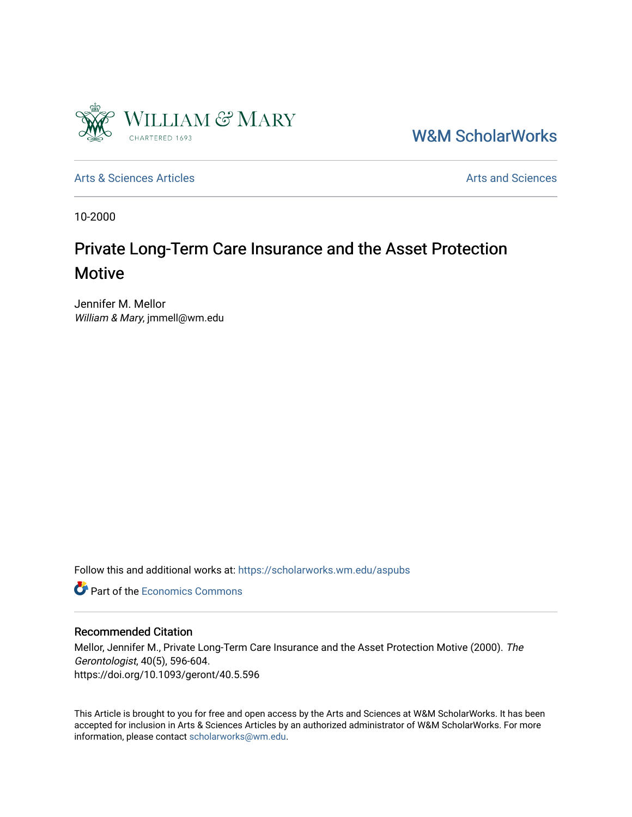

[W&M ScholarWorks](https://scholarworks.wm.edu/) 

[Arts & Sciences Articles](https://scholarworks.wm.edu/aspubs) **Articles** [Arts and Sciences](https://scholarworks.wm.edu/as) Articles Arts and Sciences Arts and Sciences

10-2000

# Private Long-Term Care Insurance and the Asset Protection Motive

Jennifer M. Mellor William & Mary, jmmell@wm.edu

Follow this and additional works at: [https://scholarworks.wm.edu/aspubs](https://scholarworks.wm.edu/aspubs?utm_source=scholarworks.wm.edu%2Faspubs%2F2027&utm_medium=PDF&utm_campaign=PDFCoverPages) 

**C** Part of the [Economics Commons](http://network.bepress.com/hgg/discipline/340?utm_source=scholarworks.wm.edu%2Faspubs%2F2027&utm_medium=PDF&utm_campaign=PDFCoverPages)

# Recommended Citation

Mellor, Jennifer M., Private Long-Term Care Insurance and the Asset Protection Motive (2000). The Gerontologist, 40(5), 596-604. https://doi.org/10.1093/geront/40.5.596

This Article is brought to you for free and open access by the Arts and Sciences at W&M ScholarWorks. It has been accepted for inclusion in Arts & Sciences Articles by an authorized administrator of W&M ScholarWorks. For more information, please contact [scholarworks@wm.edu](mailto:scholarworks@wm.edu).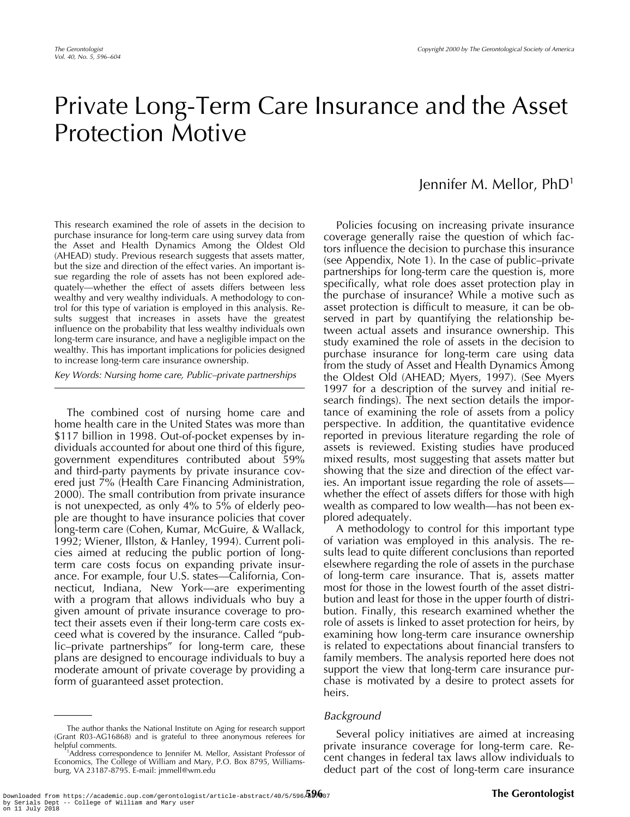# Private Long-Term Care Insurance and the Asset Protection Motive

This research examined the role of assets in the decision to purchase insurance for long-term care using survey data from the Asset and Health Dynamics Among the Oldest Old (AHEAD) study. Previous research suggests that assets matter, but the size and direction of the effect varies. An important issue regarding the role of assets has not been explored adequately—whether the effect of assets differs between less wealthy and very wealthy individuals. A methodology to control for this type of variation is employed in this analysis. Results suggest that increases in assets have the greatest influence on the probability that less wealthy individuals own long-term care insurance, and have a negligible impact on the wealthy. This has important implications for policies designed to increase long-term care insurance ownership.

Key Words: Nursing home care, Public–private partnerships

The combined cost of nursing home care and home health care in the United States was more than \$117 billion in 1998. Out-of-pocket expenses by individuals accounted for about one third of this figure, government expenditures contributed about 59% and third-party payments by private insurance covered just 7% (Health Care Financing Administration, 2000). The small contribution from private insurance is not unexpected, as only 4% to 5% of elderly people are thought to have insurance policies that cover long-term care (Cohen, Kumar, McGuire, & Wallack, 1992; Wiener, Illston, & Hanley, 1994). Current policies aimed at reducing the public portion of longterm care costs focus on expanding private insurance. For example, four U.S. states—California, Connecticut, Indiana, New York—are experimenting with a program that allows individuals who buy a given amount of private insurance coverage to protect their assets even if their long-term care costs exceed what is covered by the insurance. Called "public–private partnerships" for long-term care, these plans are designed to encourage individuals to buy a moderate amount of private coverage by providing a form of guaranteed asset protection.

# Jennifer M. Mellor, PhD1

Policies focusing on increasing private insurance coverage generally raise the question of which factors influence the decision to purchase this insurance (see Appendix, Note 1). In the case of public–private partnerships for long-term care the question is, more specifically, what role does asset protection play in the purchase of insurance? While a motive such as asset protection is difficult to measure, it can be observed in part by quantifying the relationship between actual assets and insurance ownership. This study examined the role of assets in the decision to purchase insurance for long-term care using data from the study of Asset and Health Dynamics Among the Oldest Old (AHEAD; Myers, 1997). (See Myers 1997 for a description of the survey and initial research findings). The next section details the importance of examining the role of assets from a policy perspective. In addition, the quantitative evidence reported in previous literature regarding the role of assets is reviewed. Existing studies have produced mixed results, most suggesting that assets matter but showing that the size and direction of the effect varies. An important issue regarding the role of assets whether the effect of assets differs for those with high wealth as compared to low wealth—has not been explored adequately.

A methodology to control for this important type of variation was employed in this analysis. The results lead to quite different conclusions than reported elsewhere regarding the role of assets in the purchase of long-term care insurance. That is, assets matter most for those in the lowest fourth of the asset distribution and least for those in the upper fourth of distribution. Finally, this research examined whether the role of assets is linked to asset protection for heirs, by examining how long-term care insurance ownership is related to expectations about financial transfers to family members. The analysis reported here does not support the view that long-term care insurance purchase is motivated by a desire to protect assets for heirs.

#### Background

Several policy initiatives are aimed at increasing private insurance coverage for long-term care. Recent changes in federal tax laws allow individuals to deduct part of the cost of long-term care insurance

The author thanks the National Institute on Aging for research support (Grant R03-AG16868) and is grateful to three anonymous referees for helpful comments. <sup>1</sup>

Address correspondence to Jennifer M. Mellor, Assistant Professor of Economics, The College of William and Mary, P.O. Box 8795, Williamsburg, VA 23187-8795. E-mail: jmmell@wm.edu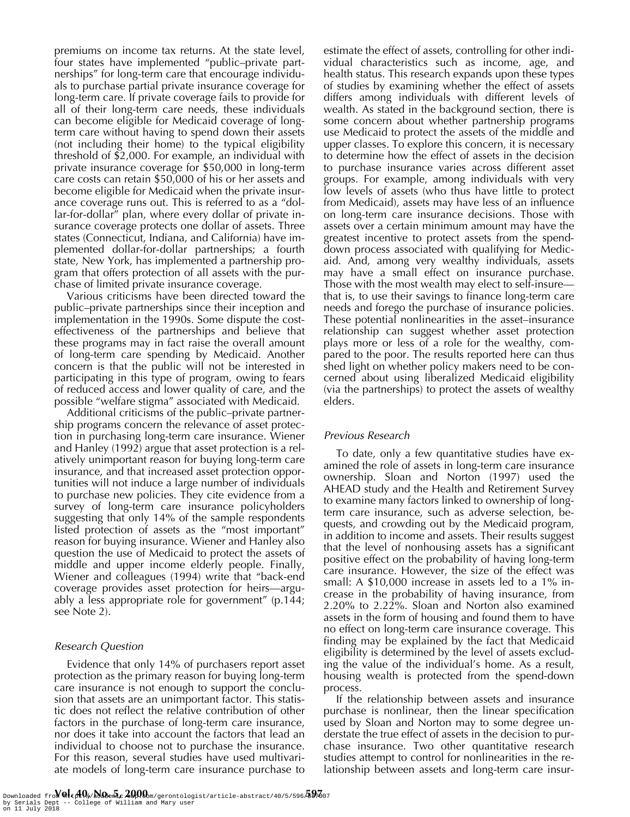premiums on income tax returns. At the state level, four states have implemented "public–private partnerships" for long-term care that encourage individuals to purchase partial private insurance coverage for long-term care. If private coverage fails to provide for all of their long-term care needs, these individuals can become eligible for Medicaid coverage of longterm care without having to spend down their assets (not including their home) to the typical eligibility threshold of \$2,000. For example, an individual with private insurance coverage for \$50,000 in long-term care costs can retain \$50,000 of his or her assets and become eligible for Medicaid when the private insurance coverage runs out. This is referred to as a "dollar-for-dollar" plan, where every dollar of private insurance coverage protects one dollar of assets. Three states (Connecticut, Indiana, and California) have implemented dollar-for-dollar partnerships; a fourth state, New York, has implemented a partnership program that offers protection of all assets with the purchase of limited private insurance coverage.

Various criticisms have been directed toward the public–private partnerships since their inception and implementation in the 1990s. Some dispute the costeffectiveness of the partnerships and believe that these programs may in fact raise the overall amount of long-term care spending by Medicaid. Another concern is that the public will not be interested in participating in this type of program, owing to fears of reduced access and lower quality of care, and the possible "welfare stigma" associated with Medicaid.

Additional criticisms of the public–private partnership programs concern the relevance of asset protection in purchasing long-term care insurance. Wiener and Hanley (1992) argue that asset protection is a relatively unimportant reason for buying long-term care insurance, and that increased asset protection opportunities will not induce a large number of individuals to purchase new policies. They cite evidence from a survey of long-term care insurance policyholders suggesting that only 14% of the sample respondents listed protection of assets as the "most important" reason for buying insurance. Wiener and Hanley also question the use of Medicaid to protect the assets of middle and upper income elderly people. Finally, Wiener and colleagues (1994) write that "back-end coverage provides asset protection for heirs—arguably a less appropriate role for government" (p.144; see Note 2).

### Research Question

Evidence that only 14% of purchasers report asset protection as the primary reason for buying long-term care insurance is not enough to support the conclusion that assets are an unimportant factor. This statistic does not reflect the relative contribution of other factors in the purchase of long-term care insurance, nor does it take into account the factors that lead an individual to choose not to purchase the insurance. For this reason, several studies have used multivariate models of long-term care insurance purchase to estimate the effect of assets, controlling for other individual characteristics such as income, age, and health status. This research expands upon these types of studies by examining whether the effect of assets differs among individuals with different levels of wealth. As stated in the background section, there is some concern about whether partnership programs use Medicaid to protect the assets of the middle and upper classes. To explore this concern, it is necessary to determine how the effect of assets in the decision to purchase insurance varies across different asset groups. For example, among individuals with very low levels of assets (who thus have little to protect from Medicaid), assets may have less of an influence on long-term care insurance decisions. Those with assets over a certain minimum amount may have the greatest incentive to protect assets from the spenddown process associated with qualifying for Medicaid. And, among very wealthy individuals, assets may have a small effect on insurance purchase. Those with the most wealth may elect to self-insure that is, to use their savings to finance long-term care needs and forego the purchase of insurance policies. These potential nonlinearities in the asset–insurance relationship can suggest whether asset protection plays more or less of a role for the wealthy, compared to the poor. The results reported here can thus shed light on whether policy makers need to be concerned about using liberalized Medicaid eligibility (via the partnerships) to protect the assets of wealthy elders.

### Previous Research

To date, only a few quantitative studies have examined the role of assets in long-term care insurance ownership. Sloan and Norton (1997) used the AHEAD study and the Health and Retirement Survey to examine many factors linked to ownership of longterm care insurance, such as adverse selection, bequests, and crowding out by the Medicaid program, in addition to income and assets. Their results suggest that the level of nonhousing assets has a significant positive effect on the probability of having long-term care insurance. However, the size of the effect was small: A \$10,000 increase in assets led to a 1% increase in the probability of having insurance, from 2.20% to 2.22%. Sloan and Norton also examined assets in the form of housing and found them to have no effect on long-term care insurance coverage. This finding may be explained by the fact that Medicaid eligibility is determined by the level of assets excluding the value of the individual's home. As a result, housing wealth is protected from the spend-down process.

If the relationship between assets and insurance purchase is nonlinear, then the linear specification used by Sloan and Norton may to some degree understate the true effect of assets in the decision to purchase insurance. Two other quantitative research studies attempt to control for nonlinearities in the relationship between assets and long-term care insur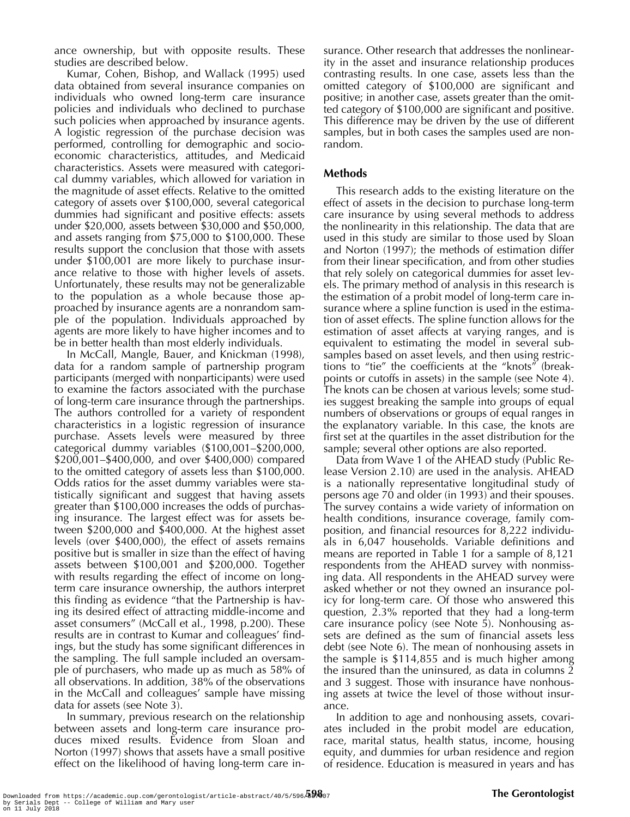ance ownership, but with opposite results. These studies are described below.

Kumar, Cohen, Bishop, and Wallack (1995) used data obtained from several insurance companies on individuals who owned long-term care insurance policies and individuals who declined to purchase such policies when approached by insurance agents. A logistic regression of the purchase decision was performed, controlling for demographic and socioeconomic characteristics, attitudes, and Medicaid characteristics. Assets were measured with categorical dummy variables, which allowed for variation in the magnitude of asset effects. Relative to the omitted category of assets over \$100,000, several categorical dummies had significant and positive effects: assets under \$20,000, assets between \$30,000 and \$50,000, and assets ranging from \$75,000 to \$100,000. These results support the conclusion that those with assets under \$100,001 are more likely to purchase insurance relative to those with higher levels of assets. Unfortunately, these results may not be generalizable to the population as a whole because those approached by insurance agents are a nonrandom sample of the population. Individuals approached by agents are more likely to have higher incomes and to be in better health than most elderly individuals.

In McCall, Mangle, Bauer, and Knickman (1998), data for a random sample of partnership program participants (merged with nonparticipants) were used to examine the factors associated with the purchase of long-term care insurance through the partnerships. The authors controlled for a variety of respondent characteristics in a logistic regression of insurance purchase. Assets levels were measured by three categorical dummy variables (\$100,001–\$200,000, \$200,001–\$400,000, and over \$400,000) compared to the omitted category of assets less than \$100,000. Odds ratios for the asset dummy variables were statistically significant and suggest that having assets greater than \$100,000 increases the odds of purchasing insurance. The largest effect was for assets between \$200,000 and \$400,000. At the highest asset levels (over \$400,000), the effect of assets remains positive but is smaller in size than the effect of having assets between \$100,001 and \$200,000. Together with results regarding the effect of income on longterm care insurance ownership, the authors interpret this finding as evidence "that the Partnership is having its desired effect of attracting middle-income and asset consumers" (McCall et al., 1998, p.200). These results are in contrast to Kumar and colleagues' findings, but the study has some significant differences in the sampling. The full sample included an oversample of purchasers, who made up as much as 58% of all observations. In addition, 38% of the observations in the McCall and colleagues' sample have missing data for assets (see Note 3).

In summary, previous research on the relationship between assets and long-term care insurance produces mixed results. Evidence from Sloan and Norton (1997) shows that assets have a small positive effect on the likelihood of having long-term care insurance. Other research that addresses the nonlinearity in the asset and insurance relationship produces contrasting results. In one case, assets less than the omitted category of \$100,000 are significant and positive; in another case, assets greater than the omitted category of \$100,000 are significant and positive. This difference may be driven by the use of different samples, but in both cases the samples used are nonrandom.

# **Methods**

This research adds to the existing literature on the effect of assets in the decision to purchase long-term care insurance by using several methods to address the nonlinearity in this relationship. The data that are used in this study are similar to those used by Sloan and Norton (1997); the methods of estimation differ from their linear specification, and from other studies that rely solely on categorical dummies for asset levels. The primary method of analysis in this research is the estimation of a probit model of long-term care insurance where a spline function is used in the estimation of asset effects. The spline function allows for the estimation of asset affects at varying ranges, and is equivalent to estimating the model in several subsamples based on asset levels, and then using restrictions to "tie" the coefficients at the "knots" (breakpoints or cutoffs in assets) in the sample (see Note 4). The knots can be chosen at various levels; some studies suggest breaking the sample into groups of equal numbers of observations or groups of equal ranges in the explanatory variable. In this case, the knots are first set at the quartiles in the asset distribution for the sample; several other options are also reported.

Data from Wave 1 of the AHEAD study (Public Release Version 2.10) are used in the analysis. AHEAD is a nationally representative longitudinal study of persons age 70 and older (in 1993) and their spouses. The survey contains a wide variety of information on health conditions, insurance coverage, family composition, and financial resources for 8,222 individuals in 6,047 households. Variable definitions and means are reported in Table 1 for a sample of 8,121 respondents from the AHEAD survey with nonmissing data. All respondents in the AHEAD survey were asked whether or not they owned an insurance policy for long-term care. Of those who answered this question, 2.3% reported that they had a long-term care insurance policy (see Note 5). Nonhousing assets are defined as the sum of financial assets less debt (see Note 6). The mean of nonhousing assets in the sample is \$114,855 and is much higher among the insured than the uninsured, as data in columns 2 and 3 suggest. Those with insurance have nonhousing assets at twice the level of those without insurance.

In addition to age and nonhousing assets, covariates included in the probit model are education, race, marital status, health status, income, housing equity, and dummies for urban residence and region of residence. Education is measured in years and has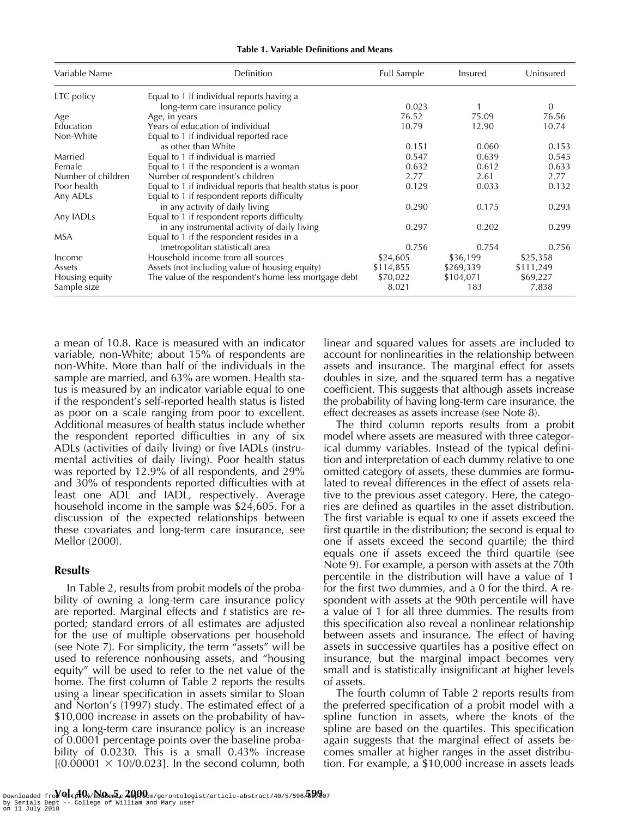| Variable Name      | Definition                                                  | Full Sample | Insured   | Uninsured |
|--------------------|-------------------------------------------------------------|-------------|-----------|-----------|
| LTC policy         | Equal to 1 if individual reports having a                   |             |           |           |
|                    | long-term care insurance policy                             | 0.023       |           | $\Omega$  |
| Age                | Age, in years                                               | 76.52       | 75.09     | 76.56     |
| Education          | Years of education of individual                            | 10.79       | 12.90     | 10.74     |
| Non-White          | Equal to 1 if individual reported race                      |             |           |           |
|                    | as other than White                                         | 0.151       | 0.060     | 0.153     |
| Married            | Equal to 1 if individual is married                         | 0.547       | 0.639     | 0.545     |
| Female             | Equal to 1 if the respondent is a woman                     | 0.632       | 0.612     | 0.633     |
| Number of children | Number of respondent's children                             | 2.77        | 2.61      | 2.77      |
| Poor health        | Equal to 1 if individual reports that health status is poor | 0.129       | 0.033     | 0.132     |
| Any ADLs           | Equal to 1 if respondent reports difficulty                 |             |           |           |
|                    | in any activity of daily living                             | 0.290       | 0.175     | 0.293     |
| Any IADLs          | Equal to 1 if respondent reports difficulty                 |             |           |           |
|                    | in any instrumental activity of daily living                | 0.297       | 0.202     | 0.299     |
| <b>MSA</b>         | Equal to 1 if the respondent resides in a                   |             |           |           |
|                    | (metropolitan statistical) area                             | 0.756       | 0.754     | 0.756     |
| Income             | Household income from all sources                           | \$24,605    | \$36,199  | \$25,358  |
| Assets             | Assets (not including value of housing equity)              | \$114,855   | \$269,339 | \$111,249 |
| Housing equity     | The value of the respondent's home less mortgage debt       | \$70,022    | \$104,071 | \$69,227  |
| Sample size        |                                                             | 8,021       | 183       | 7,838     |

**Table 1. Variable Definitions and Means**

a mean of 10.8. Race is measured with an indicator variable, non-White; about 15% of respondents are non-White. More than half of the individuals in the sample are married, and 63% are women. Health status is measured by an indicator variable equal to one if the respondent's self-reported health status is listed as poor on a scale ranging from poor to excellent. Additional measures of health status include whether the respondent reported difficulties in any of six ADLs (activities of daily living) or five IADLs (instrumental activities of daily living). Poor health status was reported by 12.9% of all respondents, and 29% and 30% of respondents reported difficulties with at least one ADL and IADL, respectively. Average household income in the sample was \$24,605. For a discussion of the expected relationships between these covariates and long-term care insurance, see Mellor (2000).

### **Results**

In Table 2, results from probit models of the probability of owning a long-term care insurance policy are reported. Marginal effects and t statistics are reported; standard errors of all estimates are adjusted for the use of multiple observations per household (see Note 7). For simplicity, the term "assets" will be used to reference nonhousing assets, and "housing equity" will be used to refer to the net value of the home. The first column of Table 2 reports the results using a linear specification in assets similar to Sloan and Norton's (1997) study. The estimated effect of a \$10,000 increase in assets on the probability of having a long-term care insurance policy is an increase of 0.0001 percentage points over the baseline probability of 0.0230. This is a small 0.43% increase  $[(0.00001 \times 10)/0.023]$ . In the second column, both

linear and squared values for assets are included to account for nonlinearities in the relationship between assets and insurance. The marginal effect for assets doubles in size, and the squared term has a negative coefficient. This suggests that although assets increase the probability of having long-term care insurance, the effect decreases as assets increase (see Note 8).

The third column reports results from a probit model where assets are measured with three categorical dummy variables. Instead of the typical definition and interpretation of each dummy relative to one omitted category of assets, these dummies are formulated to reveal differences in the effect of assets relative to the previous asset category. Here, the categories are defined as quartiles in the asset distribution. The first variable is equal to one if assets exceed the first quartile in the distribution; the second is equal to one if assets exceed the second quartile; the third equals one if assets exceed the third quartile (see Note 9). For example, a person with assets at the 70th percentile in the distribution will have a value of 1 for the first two dummies, and a 0 for the third. A respondent with assets at the 90th percentile will have a value of 1 for all three dummies. The results from this specification also reveal a nonlinear relationship between assets and insurance. The effect of having assets in successive quartiles has a positive effect on insurance, but the marginal impact becomes very small and is statistically insignificant at higher levels of assets.

The fourth column of Table 2 reports results from the preferred specification of a probit model with a spline function in assets, where the knots of the spline are based on the quartiles. This specification again suggests that the marginal effect of assets becomes smaller at higher ranges in the asset distribution. For example, a \$10,000 increase in assets leads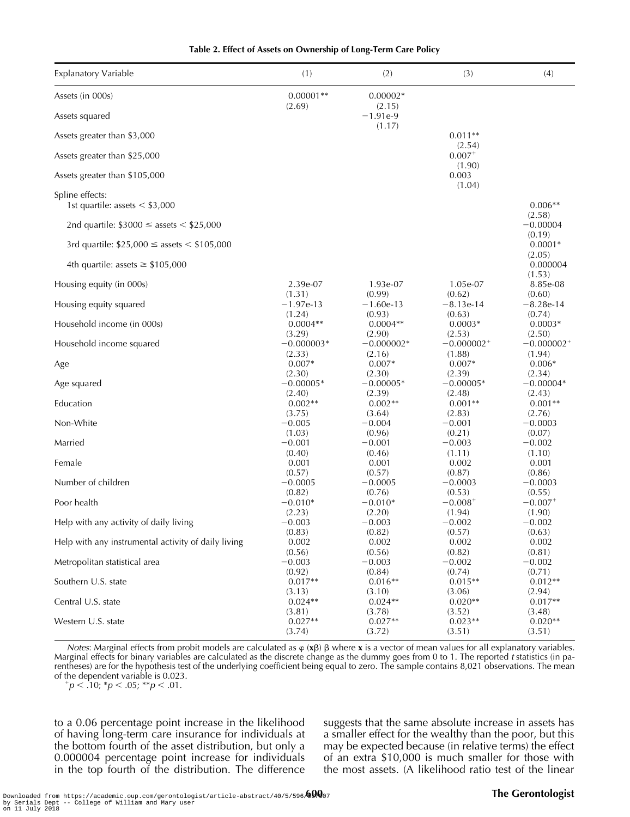| <b>Explanatory Variable</b>                           | (1)          | (2)                            | (3)                      | (4)                      |
|-------------------------------------------------------|--------------|--------------------------------|--------------------------|--------------------------|
| Assets (in 000s)                                      | $0.00001**$  | $0.00002*$                     |                          |                          |
| Assets squared                                        | (2.69)       | (2.15)<br>$-1.91e-9$<br>(1.17) |                          |                          |
| Assets greater than \$3,000                           |              |                                | $0.011**$<br>(2.54)      |                          |
| Assets greater than \$25,000                          |              |                                | $0.007^{+}$<br>(1.90)    |                          |
| Assets greater than \$105,000                         |              |                                | 0.003<br>(1.04)          |                          |
| Spline effects:<br>1st quartile: assets $\le$ \$3,000 |              |                                |                          | $0.006**$                |
| 2nd quartile: $$3000 \le a \text{ssets} < $25,000$    |              |                                |                          | (2.58)<br>$-0.00004$     |
| 3rd quartile: $$25,000 \leq$ assets < $$105,000$      |              |                                |                          | (0.19)<br>$0.0001*$      |
| 4th quartile: assets $\geq$ \$105,000                 |              |                                |                          | (2.05)<br>0.000004       |
| Housing equity (in 000s)                              | 2.39e-07     | 1.93e-07                       | 1.05e-07                 | (1.53)<br>8.85e-08       |
| Housing equity squared                                | (1.31)       | (0.99)                         | (0.62)                   | (0.60)                   |
|                                                       | $-1.97$ e-13 | $-1.60e-13$                    | $-8.13e-14$              | $-8.28e-14$              |
| Household income (in 000s)                            | (1.24)       | (0.93)                         | (0.63)                   | (0.74)                   |
|                                                       | $0.0004**$   | $0.0004**$                     | $0.0003*$                | $0.0003*$                |
| Household income squared                              | (3.29)       | (2.90)                         | (2.53)                   | (2.50)                   |
|                                                       | $-0.000003*$ | $-0.000002*$                   | $-0.000002$ <sup>+</sup> | $-0.000002$ <sup>+</sup> |
| Age                                                   | (2.33)       | (2.16)                         | (1.88)                   | (1.94)                   |
|                                                       | $0.007*$     | $0.007*$                       | $0.007*$                 | $0.006*$                 |
| Age squared                                           | (2.30)       | (2.30)                         | (2.39)                   | (2.34)                   |
|                                                       | $-0.00005*$  | $-0.00005*$                    | $-0.00005*$              | $-0.00004*$              |
| Education                                             | (2.40)       | (2.39)                         | (2.48)                   | (2.43)                   |
|                                                       | $0.002**$    | $0.002**$                      | $0.001**$                | $0.001**$                |
| Non-White                                             | (3.75)       | (3.64)                         | (2.83)                   | (2.76)                   |
|                                                       | $-0.005$     | $-0.004$                       | $-0.001$                 | $-0.0003$                |
| Married                                               | (1.03)       | (0.96)                         | (0.21)                   | (0.07)                   |
|                                                       | $-0.001$     | $-0.001$                       | $-0.003$                 | $-0.002$                 |
| Female                                                | (0.40)       | (0.46)                         | (1.11)                   | (1.10)                   |
|                                                       | 0.001        | 0.001                          | 0.002                    | 0.001                    |
| Number of children                                    | (0.57)       | (0.57)                         | (0.87)                   | (0.86)                   |
|                                                       | $-0.0005$    | $-0.0005$                      | $-0.0003$                | $-0.0003$                |
| Poor health                                           | (0.82)       | (0.76)                         | (0.53)                   | (0.55)                   |
|                                                       | $-0.010*$    | $-0.010*$                      | $-0.008^{+}$             | $-0.007$ <sup>+</sup>    |
| Help with any activity of daily living                | (2.23)       | (2.20)                         | (1.94)                   | (1.90)                   |
|                                                       | $-0.003$     | $-0.003$                       | $-0.002$                 | $-0.002$                 |
| Help with any instrumental activity of daily living   | (0.83)       | (0.82)                         | (0.57)                   | (0.63)                   |
|                                                       | 0.002        | 0.002                          | 0.002                    | 0.002                    |
| Metropolitan statistical area                         | (0.56)       | (0.56)                         | (0.82)                   | (0.81)                   |
|                                                       | $-0.003$     | $-0.003$                       | $-0.002$                 | $-0.002$                 |
| Southern U.S. state                                   | (0.92)       | (0.84)                         | (0.74)                   | (0.71)                   |
|                                                       | $0.017**$    | $0.016**$                      | $0.015**$                | $0.012**$                |
| Central U.S. state                                    | (3.13)       | (3.10)                         | (3.06)                   | (2.94)                   |
|                                                       | $0.024**$    | $0.024**$                      | $0.020**$                | $0.017**$                |
| Western U.S. state                                    | (3.81)       | (3.78)                         | (3.52)                   | (3.48)                   |
|                                                       | $0.027**$    | $0.027**$                      | $0.023**$                | $0.020**$                |
|                                                       | (3.74)       | (3.72)                         | (3.51)                   | (3.51)                   |

**Table 2. Effect of Assets on Ownership of Long-Term Care Policy**

Notes: Marginal effects from probit models are calculated as  $\varphi$  (**x** $\beta$ )  $\beta$  where **x** is a vector of mean values for all explanatory variables. Marginal effects for binary variables are calculated as the discrete change as the dummy goes from 0 to 1. The reported t statistics (in parentheses) are for the hypothesis test of the underlying coefficient being equal to zero. The sample contains 8,021 observations. The mean of the dependent variable is 0.023.

 $p< .10; *p< .05; **p< .01.$ 

to a 0.06 percentage point increase in the likelihood of having long-term care insurance for individuals at the bottom fourth of the asset distribution, but only a 0.000004 percentage point increase for individuals in the top fourth of the distribution. The difference suggests that the same absolute increase in assets has a smaller effect for the wealthy than the poor, but this may be expected because (in relative terms) the effect of an extra \$10,000 is much smaller for those with the most assets. (A likelihood ratio test of the linear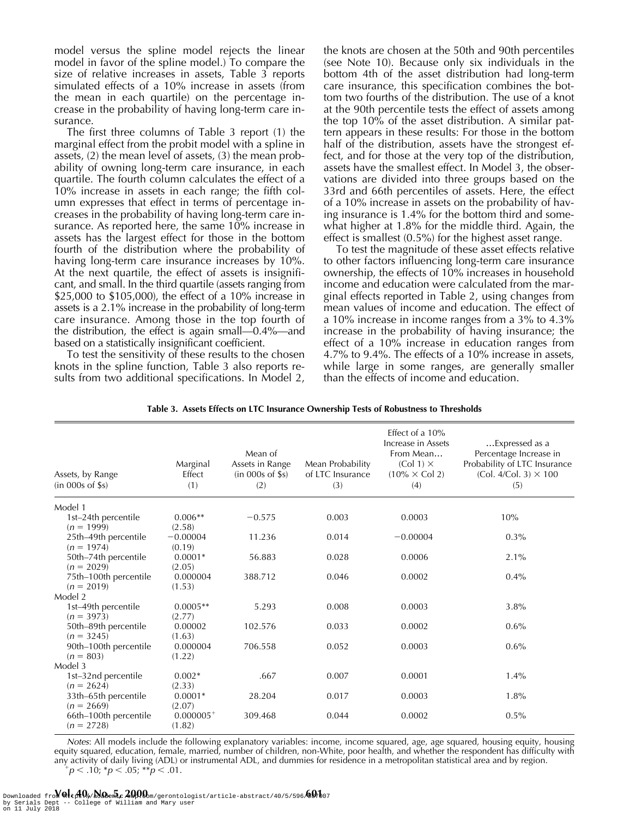model versus the spline model rejects the linear model in favor of the spline model.) To compare the size of relative increases in assets, Table 3 reports simulated effects of a 10% increase in assets (from the mean in each quartile) on the percentage increase in the probability of having long-term care insurance.

The first three columns of Table 3 report (1) the marginal effect from the probit model with a spline in assets, (2) the mean level of assets, (3) the mean probability of owning long-term care insurance, in each quartile. The fourth column calculates the effect of a 10% increase in assets in each range; the fifth column expresses that effect in terms of percentage increases in the probability of having long-term care insurance. As reported here, the same 10% increase in assets has the largest effect for those in the bottom fourth of the distribution where the probability of having long-term care insurance increases by 10%. At the next quartile, the effect of assets is insignificant, and small. In the third quartile (assets ranging from \$25,000 to \$105,000), the effect of a 10% increase in assets is a 2.1% increase in the probability of long-term care insurance. Among those in the top fourth of the distribution, the effect is again small—0.4%—and based on a statistically insignificant coefficient.

To test the sensitivity of these results to the chosen knots in the spline function, Table 3 also reports results from two additional specifications. In Model 2, the knots are chosen at the 50th and 90th percentiles (see Note 10). Because only six individuals in the bottom 4th of the asset distribution had long-term care insurance, this specification combines the bottom two fourths of the distribution. The use of a knot at the 90th percentile tests the effect of assets among the top 10% of the asset distribution. A similar pattern appears in these results: For those in the bottom half of the distribution, assets have the strongest effect, and for those at the very top of the distribution, assets have the smallest effect. In Model 3, the observations are divided into three groups based on the 33rd and 66th percentiles of assets. Here, the effect of a 10% increase in assets on the probability of having insurance is 1.4% for the bottom third and somewhat higher at 1.8% for the middle third. Again, the effect is smallest (0.5%) for the highest asset range.

To test the magnitude of these asset effects relative to other factors influencing long-term care insurance ownership, the effects of 10% increases in household income and education were calculated from the marginal effects reported in Table 2, using changes from mean values of income and education. The effect of a 10% increase in income ranges from a 3% to 4.3% increase in the probability of having insurance; the effect of a 10% increase in education ranges from 4.7% to 9.4%. The effects of a 10% increase in assets, while large in some ranges, are generally smaller than the effects of income and education.

| Assets, by Range<br>$(in$ 000s of \$s) | Marginal<br>Effect<br>(1) | Mean of<br>Assets in Range<br>$(in$ 000s of \$s)<br>(2) | Mean Probability<br>of LTC Insurance<br>(3) | Effect of a 10%<br>Increase in Assets<br>From Mean<br>$(Col 1) \times$<br>$(10\% \times \text{Col 2})$<br>(4) | Expressed as a<br>Percentage Increase in<br>Probability of LTC Insurance<br>$(Col. 4/Col. 3) \times 100$<br>(5) |
|----------------------------------------|---------------------------|---------------------------------------------------------|---------------------------------------------|---------------------------------------------------------------------------------------------------------------|-----------------------------------------------------------------------------------------------------------------|
| Model 1                                |                           |                                                         |                                             |                                                                                                               |                                                                                                                 |
| 1st-24th percentile<br>$(n = 1999)$    | $0.006**$<br>(2.58)       | $-0.575$                                                | 0.003                                       | 0.0003                                                                                                        | 10%                                                                                                             |
| 25th-49th percentile<br>$(n = 1974)$   | $-0.00004$<br>(0.19)      | 11.236                                                  | 0.014                                       | $-0.00004$                                                                                                    | $0.3\%$                                                                                                         |
| 50th-74th percentile<br>$(n = 2029)$   | $0.0001*$<br>(2.05)       | 56.883                                                  | 0.028                                       | 0.0006                                                                                                        | 2.1%                                                                                                            |
| 75th-100th percentile<br>$(n = 2019)$  | 0.000004<br>(1.53)        | 388.712                                                 | 0.046                                       | 0.0002                                                                                                        | $0.4\%$                                                                                                         |
| Model 2                                |                           |                                                         |                                             |                                                                                                               |                                                                                                                 |
| 1st-49th percentile<br>$(n = 3973)$    | $0.0005**$<br>(2.77)      | 5.293                                                   | 0.008                                       | 0.0003                                                                                                        | 3.8%                                                                                                            |
| 50th-89th percentile<br>$(n = 3245)$   | 0.00002<br>(1.63)         | 102.576                                                 | 0.033                                       | 0.0002                                                                                                        | 0.6%                                                                                                            |
| 90th-100th percentile<br>$(n = 803)$   | 0.000004<br>(1.22)        | 706.558                                                 | 0.052                                       | 0.0003                                                                                                        | 0.6%                                                                                                            |
| Model 3                                |                           |                                                         |                                             |                                                                                                               |                                                                                                                 |
| 1st-32nd percentile<br>$(n = 2624)$    | $0.002*$<br>(2.33)        | .667                                                    | 0.007                                       | 0.0001                                                                                                        | 1.4%                                                                                                            |
| 33th-65th percentile<br>$(n = 2669)$   | $0.0001*$<br>(2.07)       | 28.204                                                  | 0.017                                       | 0.0003                                                                                                        | 1.8%                                                                                                            |
| 66th-100th percentile<br>$(n = 2728)$  | $0.000005^{+}$<br>(1.82)  | 309.468                                                 | 0.044                                       | 0.0002                                                                                                        | 0.5%                                                                                                            |

**Table 3. Assets Effects on LTC Insurance Ownership Tests of Robustness to Thresholds**

Notes: All models include the following explanatory variables: income, income squared, age, age squared, housing equity, housing equity squared, education, female, married, number of children, non-White, poor health, and whether the respondent has difficulty with any activity of daily living (ADL) or instrumental ADL, and dummies for residence in a metropolitan statistical area and by region.  $p < .10$ ; \*p  $< .05$ ; \*\*p  $< .01$ .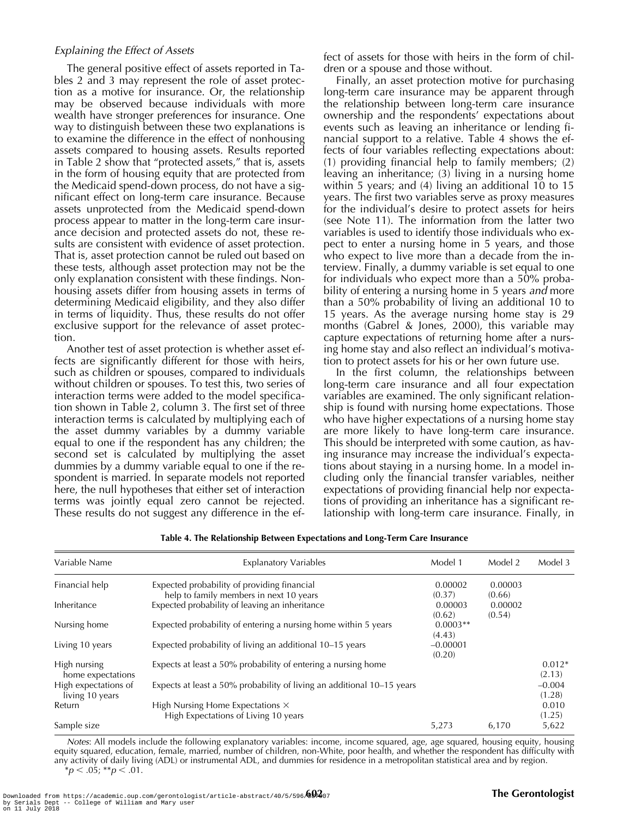#### Explaining the Effect of Assets

The general positive effect of assets reported in Tables 2 and 3 may represent the role of asset protection as a motive for insurance. Or, the relationship may be observed because individuals with more wealth have stronger preferences for insurance. One way to distinguish between these two explanations is to examine the difference in the effect of nonhousing assets compared to housing assets. Results reported in Table 2 show that "protected assets," that is, assets in the form of housing equity that are protected from the Medicaid spend-down process, do not have a significant effect on long-term care insurance. Because assets unprotected from the Medicaid spend-down process appear to matter in the long-term care insurance decision and protected assets do not, these results are consistent with evidence of asset protection. That is, asset protection cannot be ruled out based on these tests, although asset protection may not be the only explanation consistent with these findings. Nonhousing assets differ from housing assets in terms of determining Medicaid eligibility, and they also differ in terms of liquidity. Thus, these results do not offer exclusive support for the relevance of asset protection.

Another test of asset protection is whether asset effects are significantly different for those with heirs, such as children or spouses, compared to individuals without children or spouses. To test this, two series of interaction terms were added to the model specification shown in Table 2, column 3. The first set of three interaction terms is calculated by multiplying each of the asset dummy variables by a dummy variable equal to one if the respondent has any children; the second set is calculated by multiplying the asset dummies by a dummy variable equal to one if the respondent is married. In separate models not reported here, the null hypotheses that either set of interaction terms was jointly equal zero cannot be rejected. These results do not suggest any difference in the effect of assets for those with heirs in the form of children or a spouse and those without.

Finally, an asset protection motive for purchasing long-term care insurance may be apparent through the relationship between long-term care insurance ownership and the respondents' expectations about events such as leaving an inheritance or lending financial support to a relative. Table 4 shows the effects of four variables reflecting expectations about: (1) providing financial help to family members; (2) leaving an inheritance; (3) living in a nursing home within 5 years; and (4) living an additional 10 to 15 years. The first two variables serve as proxy measures for the individual's desire to protect assets for heirs (see Note 11). The information from the latter two variables is used to identify those individuals who expect to enter a nursing home in 5 years, and those who expect to live more than a decade from the interview. Finally, a dummy variable is set equal to one for individuals who expect more than a 50% probability of entering a nursing home in 5 years *and* more than a 50% probability of living an additional 10 to 15 years. As the average nursing home stay is 29 months (Gabrel & Jones, 2000), this variable may capture expectations of returning home after a nursing home stay and also reflect an individual's motivation to protect assets for his or her own future use.

In the first column, the relationships between long-term care insurance and all four expectation variables are examined. The only significant relationship is found with nursing home expectations. Those who have higher expectations of a nursing home stay are more likely to have long-term care insurance. This should be interpreted with some caution, as having insurance may increase the individual's expectations about staying in a nursing home. In a model including only the financial transfer variables, neither expectations of providing financial help nor expectations of providing an inheritance has a significant relationship with long-term care insurance. Finally, in

| Variable Name        | <b>Explanatory Variables</b>                                           | Model 1    | Model 2 | Model 3  |
|----------------------|------------------------------------------------------------------------|------------|---------|----------|
| Financial help       | Expected probability of providing financial                            | 0.00002    | 0.00003 |          |
|                      | help to family members in next 10 years                                | (0.37)     | (0.66)  |          |
| Inheritance          | Expected probability of leaving an inheritance                         | 0.00003    | 0.00002 |          |
|                      |                                                                        | (0.62)     | (0.54)  |          |
| Nursing home         | Expected probability of entering a nursing home within 5 years         | $0.0003**$ |         |          |
|                      |                                                                        | (4.43)     |         |          |
| Living 10 years      | Expected probability of living an additional 10–15 years               | $-0.00001$ |         |          |
|                      |                                                                        | (0.20)     |         |          |
| High nursing         | Expects at least a 50% probability of entering a nursing home          |            |         | $0.012*$ |
| home expectations    |                                                                        |            |         | (2.13)   |
| High expectations of | Expects at least a 50% probability of living an additional 10–15 years |            |         | $-0.004$ |
| living 10 years      |                                                                        |            |         | (1.28)   |
| Return               | High Nursing Home Expectations $\times$                                |            |         | 0.010    |
|                      | High Expectations of Living 10 years                                   |            |         | (1.25)   |
| Sample size          |                                                                        | 5.273      | 6,170   | 5,622    |

**Table 4. The Relationship Between Expectations and Long-Term Care Insurance**

Notes: All models include the following explanatory variables: income, income squared, age, age squared, housing equity, housing equity squared, education, female, married, number of children, non-White, poor health, and whether the respondent has difficulty with any activity of daily living (ADL) or instrumental ADL, and dummies for residence in a metropolitan statistical area and by region.  $**p* < .05; ***p* < .01.$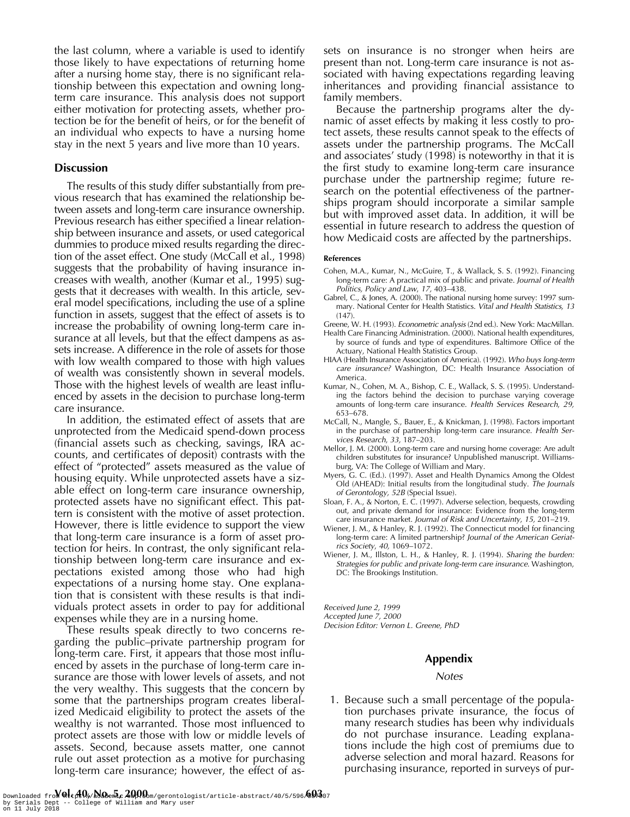the last column, where a variable is used to identify those likely to have expectations of returning home after a nursing home stay, there is no significant relationship between this expectation and owning longterm care insurance. This analysis does not support either motivation for protecting assets, whether protection be for the benefit of heirs, or for the benefit of an individual who expects to have a nursing home stay in the next 5 years and live more than 10 years.

#### **Discussion**

The results of this study differ substantially from previous research that has examined the relationship between assets and long-term care insurance ownership. Previous research has either specified a linear relationship between insurance and assets, or used categorical dummies to produce mixed results regarding the direction of the asset effect. One study (McCall et al., 1998) suggests that the probability of having insurance increases with wealth, another (Kumar et al., 1995) suggests that it decreases with wealth. In this article, several model specifications, including the use of a spline function in assets, suggest that the effect of assets is to increase the probability of owning long-term care insurance at all levels, but that the effect dampens as assets increase. A difference in the role of assets for those with low wealth compared to those with high values of wealth was consistently shown in several models. Those with the highest levels of wealth are least influenced by assets in the decision to purchase long-term care insurance.

In addition, the estimated effect of assets that are unprotected from the Medicaid spend-down process (financial assets such as checking, savings, IRA accounts, and certificates of deposit) contrasts with the effect of "protected" assets measured as the value of housing equity. While unprotected assets have a sizable effect on long-term care insurance ownership, protected assets have no significant effect. This pattern is consistent with the motive of asset protection. However, there is little evidence to support the view that long-term care insurance is a form of asset protection for heirs. In contrast, the only significant relationship between long-term care insurance and expectations existed among those who had high expectations of a nursing home stay. One explanation that is consistent with these results is that individuals protect assets in order to pay for additional expenses while they are in a nursing home.

These results speak directly to two concerns regarding the public–private partnership program for long-term care. First, it appears that those most influenced by assets in the purchase of long-term care insurance are those with lower levels of assets, and not the very wealthy. This suggests that the concern by some that the partnerships program creates liberalized Medicaid eligibility to protect the assets of the wealthy is not warranted. Those most influenced to protect assets are those with low or middle levels of assets. Second, because assets matter, one cannot rule out asset protection as a motive for purchasing long-term care insurance; however, the effect of assets on insurance is no stronger when heirs are present than not. Long-term care insurance is not associated with having expectations regarding leaving inheritances and providing financial assistance to family members.

Because the partnership programs alter the dynamic of asset effects by making it less costly to protect assets, these results cannot speak to the effects of assets under the partnership programs. The McCall and associates' study (1998) is noteworthy in that it is the first study to examine long-term care insurance purchase under the partnership regime; future research on the potential effectiveness of the partnerships program should incorporate a similar sample but with improved asset data. In addition, it will be essential in future research to address the question of how Medicaid costs are affected by the partnerships.

#### **References**

- Cohen, M.A., Kumar, N., McGuire, T., & Wallack, S. S. (1992). Financing long-term care: A practical mix of public and private. Journal of Health Politics, Policy and Law, 17, 403–438.
- Gabrel, C., & Jones, A. (2000). The national nursing home survey: 1997 summary. National Center for Health Statistics. Vital and Health Statistics, 13  $(147)$ .
- Greene, W. H. (1993). Econometric analysis (2nd ed.). New York: MacMillan.
- Health Care Financing Administration. (2000). National health expenditures, by source of funds and type of expenditures. Baltimore Office of the Actuary, National Health Statistics Group.
- HIAA (Health Insurance Association of America). (1992). Who buys long-term care insurance? Washington, DC: Health Insurance Association of America.
- Kumar, N., Cohen, M. A., Bishop, C. E., Wallack, S. S. (1995). Understanding the factors behind the decision to purchase varying coverage amounts of long-term care insurance. Health Services Research, 29, 653–678.
- McCall, N., Mangle, S., Bauer, E., & Knickman, J. (1998). Factors important in the purchase of partnership long-term care insurance. Health Services Research, 33, 187–203.
- Mellor, J. M. (2000). Long-term care and nursing home coverage: Are adult children substitutes for insurance? Unpublished manuscript. Williamsburg, VA: The College of William and Mary.
- Myers, G. C. (Ed.). (1997). Asset and Health Dynamics Among the Oldest Old (AHEAD): Initial results from the longitudinal study. The Journals of Gerontology, 52B (Special Issue).
- Sloan, F. A., & Norton, E. C. (1997). Adverse selection, bequests, crowding out, and private demand for insurance: Evidence from the long-term care insurance market. Journal of Risk and Uncertainty, 15, 201–219.
- Wiener, J. M., & Hanley, R. J. (1992). The Connecticut model for financing long-term care: A limited partnership? Journal of the American Geriatrics Society, 40, 1069–1072.
- Wiener, J. M., Illston, L. H., & Hanley, R. J. (1994). Sharing the burden: Strategies for public and private long-term care insurance. Washington, DC: The Brookings Institution.

Received June 2, 1999

Accepted June 7, 2000

Decision Editor: Vernon L. Greene, PhD

#### **Appendix**

#### **Notes**

1. Because such a small percentage of the population purchases private insurance, the focus of many research studies has been why individuals do not purchase insurance. Leading explanations include the high cost of premiums due to adverse selection and moral hazard. Reasons for purchasing insurance, reported in surveys of pur